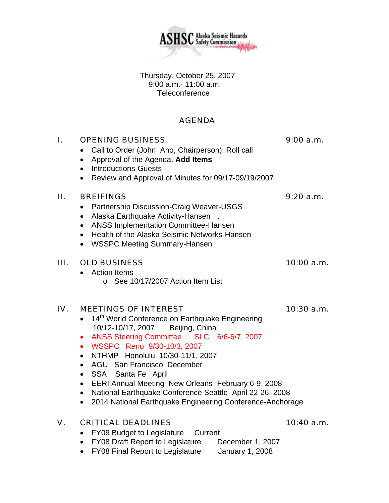Thursday, October 25, 2007 9:00 a.m.- 11:00 a.m. Teleconference

## AGENDA

## I. OPENING BUSINESS 9:00 a.m.

- Call to Order (John Aho, Chairperson); Roll call
- Approval of the Agenda, **Add Items**
- Introductions-Guests
- Review and Approval of Minutes for 09/17-09/19/2007

## II. BREIFINGS 9:20 a.m.

- Partnership Discussion-Craig Weaver-USGS
- Alaska Earthquake Activity-Hansen .
- ANSS Implementation Committee-Hansen
- Health of the Alaska Seismic Networks-Hansen
- WSSPC Meeting Summary-Hansen

### III. OLD BUSINESS 10:00 a.m.

- Action Items
	- o See 10/17/2007 Action Item List

## IV. MEETINGS OF INTEREST 10:30 a.m.

- 14<sup>th</sup> World Conference on Earthquake Engineering 10/12-10/17, 2007 Beijing, China
- ANSS Steering Committee SLC 6/6-6/7, 2007
- WSSPC Reno 9/30-10/3, 2007
- NTHMP Honolulu 10/30-11/1, 2007
- AGU San Francisco December
- SSA Santa Fe April
- EERI Annual Meeting New Orleans February 6-9, 2008
- National Earthquake Conference Seattle April 22-26, 2008
- 2014 National Earthquake Engineering Conference-Anchorage

## V. CRITICAL DEADLINES 10:40 a.m.

- FY09 Budget to Legislature Current
- FY08 Draft Report to Legislature December 1, 2007
- FY08 Final Report to Legislature January 1, 2008

**ASHSC** Alaska Seismic Hazards